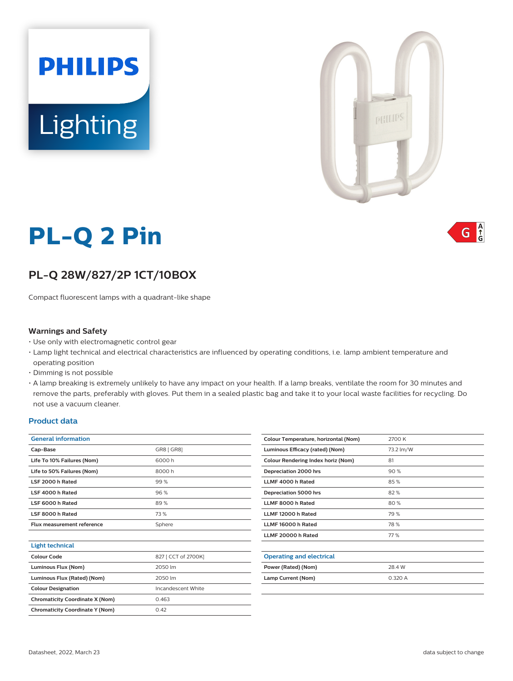

# **PL-Q 2 Pin**

**Lighting** 

**PHILIPS** 

# **PL-Q 28W/827/2P 1CT/10BOX**

Compact fluorescent lamps with a quadrant-like shape

#### **Warnings and Safety**

- Use only with electromagnetic control gear
- Lamp light technical and electrical characteristics are influenced by operating conditions, i.e. lamp ambient temperature and operating position
- Dimming is not possible
- A lamp breaking is extremely unlikely to have any impact on your health. If a lamp breaks, ventilate the room for 30 minutes and remove the parts, preferably with gloves. Put them in a sealed plastic bag and take it to your local waste facilities for recycling. Do not use a vacuum cleaner.

#### **Product data**

| <b>General information</b>             |                     |  |  |  |
|----------------------------------------|---------------------|--|--|--|
| Cap-Base                               | GR8 [ GR8]          |  |  |  |
| Life To 10% Failures (Nom)             | 6000 h              |  |  |  |
| Life to 50% Failures (Nom)             | 8000h               |  |  |  |
| LSF 2000 h Rated                       | 99%                 |  |  |  |
| LSF 4000 h Rated                       | 96%                 |  |  |  |
| LSF 6000 h Rated                       | 89%                 |  |  |  |
| LSF 8000 h Rated                       | 73 %                |  |  |  |
| Flux measurement reference             | Sphere              |  |  |  |
|                                        |                     |  |  |  |
| <b>Light technical</b>                 |                     |  |  |  |
| Colour Code                            | 827 [ CCT of 2700K] |  |  |  |
| Luminous Flux (Nom)                    | 2050 lm             |  |  |  |
| Luminous Flux (Rated) (Nom)            | 2050 lm             |  |  |  |
| <b>Colour Designation</b>              | Incandescent White  |  |  |  |
| <b>Chromaticity Coordinate X (Nom)</b> | 0.463               |  |  |  |
| <b>Chromaticity Coordinate Y (Nom)</b> | 0.42                |  |  |  |
|                                        |                     |  |  |  |

| Colour Temperature, horizontal (Nom) | 2700 K    |  |  |
|--------------------------------------|-----------|--|--|
| Luminous Efficacy (rated) (Nom)      | 73.2 lm/W |  |  |
| Colour Rendering Index horiz (Nom)   | 81        |  |  |
| Depreciation 2000 hrs                | 90%       |  |  |
| LLMF 4000 h Rated                    | 85%       |  |  |
| Depreciation 5000 hrs                | 82%       |  |  |
| LLMF 8000 h Rated                    | 80%       |  |  |
| LLMF 12000 h Rated                   | 79 %      |  |  |
| LLMF 16000 h Rated                   | 78%       |  |  |
| LLMF 20000 h Rated                   | 77 %      |  |  |
|                                      |           |  |  |
| <b>Operating and electrical</b>      |           |  |  |
| Power (Rated) (Nom)                  | 28.4 W    |  |  |
| Lamp Current (Nom)                   | 0.320 A   |  |  |
|                                      |           |  |  |

 $\frac{A}{G}$ G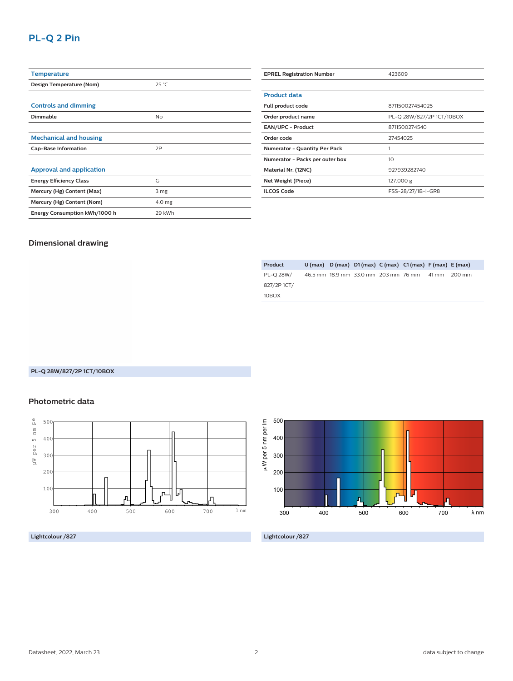## **PL-Q 2 Pin**

| <b>Temperature</b>              |                |
|---------------------------------|----------------|
| Design Temperature (Nom)        | $25^{\circ}$ C |
|                                 |                |
| <b>Controls and dimming</b>     |                |
| Dimmable                        | <b>No</b>      |
|                                 |                |
| <b>Mechanical and housing</b>   |                |
| <b>Cap-Base Information</b>     | 2P             |
|                                 |                |
| <b>Approval and application</b> |                |
| <b>Energy Efficiency Class</b>  | G              |
| Mercury (Hg) Content (Max)      | 3 mg           |
| Mercury (Hg) Content (Nom)      | 4.0 mg         |
| Energy Consumption kWh/1000 h   | 29 kWh         |

| <b>EPREL Registration Number</b>     | 423609                    |  |  |  |
|--------------------------------------|---------------------------|--|--|--|
|                                      |                           |  |  |  |
| <b>Product data</b>                  |                           |  |  |  |
| Full product code                    | 871150027454025           |  |  |  |
| Order product name                   | PL-Q 28W/827/2P 1CT/10BOX |  |  |  |
| <b>EAN/UPC - Product</b>             | 8711500274540             |  |  |  |
| Order code                           | 27454025                  |  |  |  |
| <b>Numerator - Quantity Per Pack</b> |                           |  |  |  |
| Numerator - Packs per outer box      | 10 <sup>2</sup>           |  |  |  |
| Material Nr. (12NC)                  | 927939282740              |  |  |  |
| Net Weight (Piece)                   | 127.000 g                 |  |  |  |
| <b>ILCOS Code</b>                    | FSS-28/27/1B-I-GR8        |  |  |  |

#### **Dimensional drawing**

| Product    |  | $U$ (max) $D$ (max) $D1$ (max) $C$ (max) $C1$ (max) $F$ (max) $E$ (max) |  |       |        |
|------------|--|-------------------------------------------------------------------------|--|-------|--------|
| PL-O 28W/  |  | 46.5 mm 18.9 mm 33.0 mm 203 mm 76 mm                                    |  | 41 mm | 200 mm |
| 827/2P1CT/ |  |                                                                         |  |       |        |
| 10BOX      |  |                                                                         |  |       |        |

#### **PL-Q 28W/827/2P 1CT/10BOX**

#### **Photometric data**



#### **Lightcolour /827**



**Lightcolour /827**